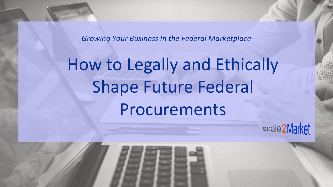*Growing Your Business In the Federal Marketplace*

# How to Legally and Ethically Shape Future Federal Procurements

scale 2Market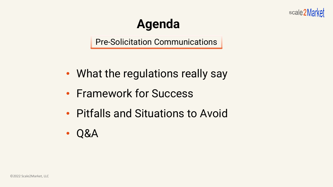

# **Agenda**

Pre-Solicitation Communications

- What the regulations really say
- Framework for Success
- Pitfalls and Situations to Avoid
- Q&A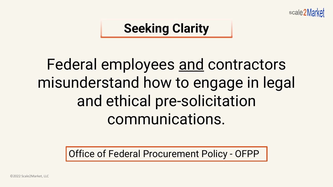

#### **Seeking Clarity**

# Federal employees and contractors misunderstand how to engage in legal and ethical pre-solicitation communications.

Office of Federal Procurement Policy - OFPP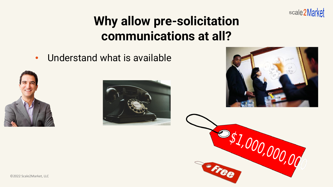

# **Why allow pre-solicitation communications at all?**

• Understand what is available







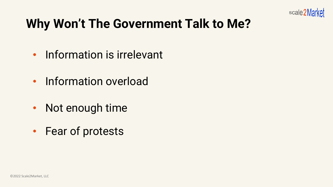

# **Why Won't The Government Talk to Me?**

- Information is irrelevant
- Information overload
- Not enough time
- Fear of protests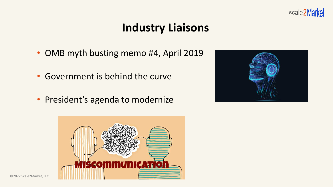

#### **Industry Liaisons**

- OMB myth busting memo #4, April 2019
- Government is behind the curve
- President's agenda to modernize



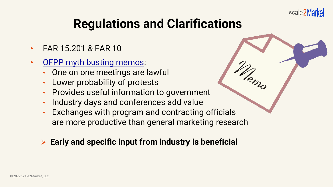

# **Regulations and Clarifications**

- FAR 15.201 & FAR 10
- **[OFPP myth busting memos](https://obamawhitehouse.archives.gov/sites/default/files/omb/procurement/memo/Myth-Busting.pdf):** 
	- One on one meetings are lawful
	- Lower probability of protests
	- Provides useful information to government
	- Industry days and conferences add value
	- Exchanges with program and contracting officials are more productive than general marketing research
	- ➢ **Early and specific input from industry is beneficial**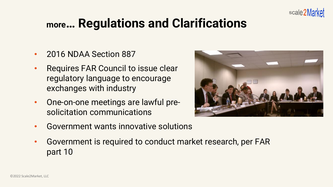

#### **more… Regulations and Clarifications**

- 2016 NDAA Section 887
- Requires FAR Council to issue clear regulatory language to encourage exchanges with industry
- One-on-one meetings are lawful presolicitation communications
- Government wants innovative solutions
- Government is required to conduct market research, per FAR part 10

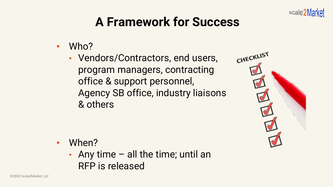

# **A Framework for Success**

- Who?
	- Vendors/Contractors, end users, program managers, contracting office & support personnel, Agency SB office, industry liaisons & others



- When?
	- Any time  $-$  all the time; until an RFP is released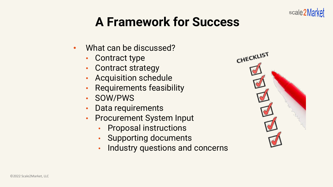# **A Framework for Success**

- What can be discussed?
	- Contract type
	- Contract strategy
	- Acquisition schedule
	- Requirements feasibility
	- SOW/PWS
	- Data requirements
	- Procurement System Input
		- Proposal instructions
		- Supporting documents
		- Industry questions and concerns



scale2Market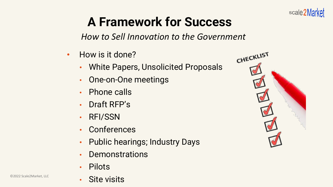

# **A Framework for Success**

*How to Sell Innovation to the Government*

- How is it done?
	- White Papers, Unsolicited Proposals
	- One-on-One meetings
	- Phone calls
	- Draft RFP's
	- RFI/SSN
	- **Conferences**
	- Public hearings; Industry Days
	- **Demonstrations**
	- **Pilots**



CHECKLIST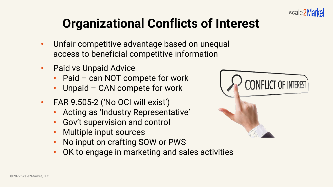

# **Organizational Conflicts of Interest**

- Unfair competitive advantage based on unequal access to beneficial competitive information
- Paid vs Unpaid Advice
	- Paid can NOT compete for work
	- Unpaid CAN compete for work
- FAR 9.505-2 ('No OCI will exist')
	- Acting as 'Industry Representative'
	- Gov't supervision and control
	- Multiple input sources
	- No input on crafting SOW or PWS
	- OK to engage in marketing and sales activities

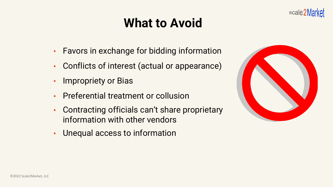# **What to Avoid**

- Favors in exchange for bidding information
- Conflicts of interest (actual or appearance)
- Impropriety or Bias
- Preferential treatment or collusion
- Contracting officials can't share proprietary information with other vendors
- Unequal access to information



scale2Market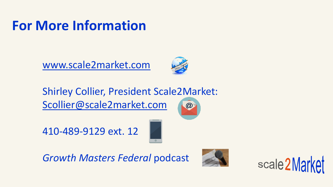# **For More Information**

[www.scale2market.com](http://www.scale2market.com/)



Shirley Collier, President Scale2Market: [Scollier@scale2market.com](mailto:Scollier@scale2market.com)  $\omega$ 

410-489-9129 ext. 12



*Growth Masters Federal* podcast